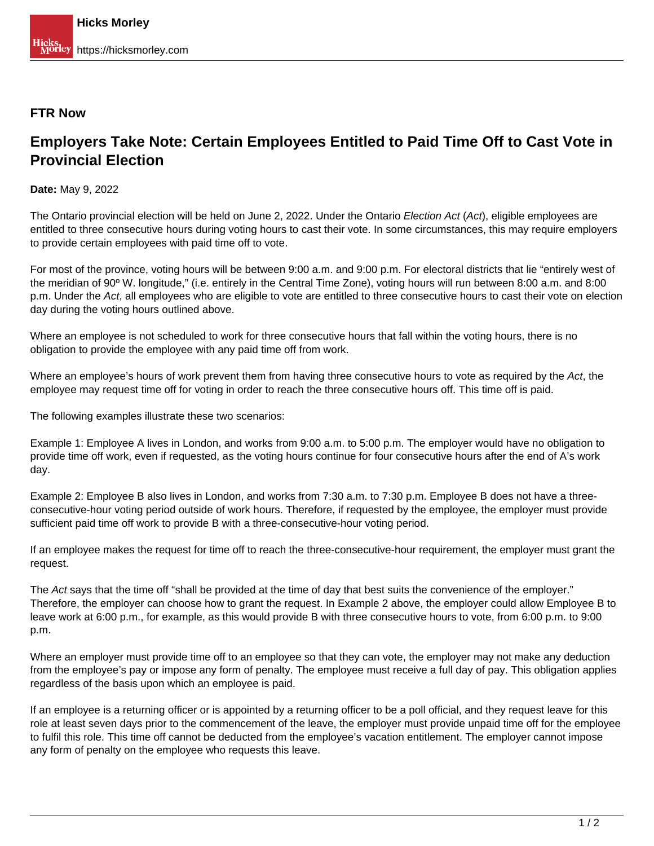## **FTR Now**

## **Employers Take Note: Certain Employees Entitled to Paid Time Off to Cast Vote in Provincial Election**

**Date:** May 9, 2022

The Ontario provincial election will be held on June 2, 2022. Under the Ontario Election Act (Act), eligible employees are entitled to three consecutive hours during voting hours to cast their vote. In some circumstances, this may require employers to provide certain employees with paid time off to vote.

For most of the province, voting hours will be between 9:00 a.m. and 9:00 p.m. For electoral districts that lie "entirely west of the meridian of 90º W. longitude," (i.e. entirely in the Central Time Zone), voting hours will run between 8:00 a.m. and 8:00 p.m. Under the Act, all employees who are eligible to vote are entitled to three consecutive hours to cast their vote on election day during the voting hours outlined above.

Where an employee is not scheduled to work for three consecutive hours that fall within the voting hours, there is no obligation to provide the employee with any paid time off from work.

Where an employee's hours of work prevent them from having three consecutive hours to vote as required by the Act, the employee may request time off for voting in order to reach the three consecutive hours off. This time off is paid.

The following examples illustrate these two scenarios:

Example 1: Employee A lives in London, and works from 9:00 a.m. to 5:00 p.m. The employer would have no obligation to provide time off work, even if requested, as the voting hours continue for four consecutive hours after the end of A's work day.

Example 2: Employee B also lives in London, and works from 7:30 a.m. to 7:30 p.m. Employee B does not have a threeconsecutive-hour voting period outside of work hours. Therefore, if requested by the employee, the employer must provide sufficient paid time off work to provide B with a three-consecutive-hour voting period.

If an employee makes the request for time off to reach the three-consecutive-hour requirement, the employer must grant the request.

The Act says that the time off "shall be provided at the time of day that best suits the convenience of the employer." Therefore, the employer can choose how to grant the request. In Example 2 above, the employer could allow Employee B to leave work at 6:00 p.m., for example, as this would provide B with three consecutive hours to vote, from 6:00 p.m. to 9:00 p.m.

Where an employer must provide time off to an employee so that they can vote, the employer may not make any deduction from the employee's pay or impose any form of penalty. The employee must receive a full day of pay. This obligation applies regardless of the basis upon which an employee is paid.

If an employee is a returning officer or is appointed by a returning officer to be a poll official, and they request leave for this role at least seven days prior to the commencement of the leave, the employer must provide unpaid time off for the employee to fulfil this role. This time off cannot be deducted from the employee's vacation entitlement. The employer cannot impose any form of penalty on the employee who requests this leave.